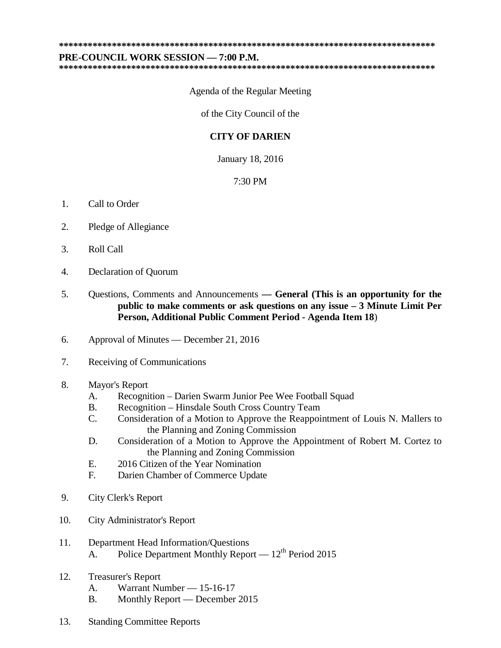## **\*\*\*\*\*\*\*\*\*\*\*\*\*\*\*\*\*\*\*\*\*\*\*\*\*\*\*\*\*\*\*\*\*\*\*\*\*\*\*\*\*\*\*\*\*\*\*\*\*\*\*\*\*\*\*\*\*\*\*\*\*\*\*\*\*\*\*\*\*\*\*\*\*\*\*\*\*\***

**\*\*\*\*\*\*\*\*\*\*\*\*\*\*\*\*\*\*\*\*\*\*\*\*\*\*\*\*\*\*\*\*\*\*\*\*\*\*\*\*\*\*\*\*\*\*\*\*\*\*\*\*\*\*\*\*\*\*\*\*\*\*\*\*\*\*\*\*\*\*\*\*\*\*\*\*\*\***

## **PRE-COUNCIL WORK SESSION — 7:00 P.M.**

Agenda of the Regular Meeting

of the City Council of the

## **CITY OF DARIEN**

January 18, 2016

## 7:30 PM

- 1. Call to Order
- 2. Pledge of Allegiance
- 3. Roll Call
- 4. Declaration of Quorum
- 5. Questions, Comments and Announcements **— General (This is an opportunity for the public to make comments or ask questions on any issue – 3 Minute Limit Per Person, Additional Public Comment Period - Agenda Item 18**)
- 6. Approval of Minutes December 21, 2016
- 7. Receiving of Communications
- 8. Mayor's Report
	- A. Recognition Darien Swarm Junior Pee Wee Football Squad
	- B. Recognition Hinsdale South Cross Country Team
	- C. Consideration of a Motion to Approve the Reappointment of Louis N. Mallers to the Planning and Zoning Commission
	- D. Consideration of a Motion to Approve the Appointment of Robert M. Cortez to the Planning and Zoning Commission
	- E. 2016 Citizen of the Year Nomination
	- F. Darien Chamber of Commerce Update
- 9. City Clerk's Report
- 10. City Administrator's Report
- 11. Department Head Information/Questions A. Police Department Monthly Report —  $12<sup>th</sup>$  Period 2015
- 12. Treasurer's Report
	- A. Warrant Number 15-16-17
	- B. Monthly Report December 2015
- 13. Standing Committee Reports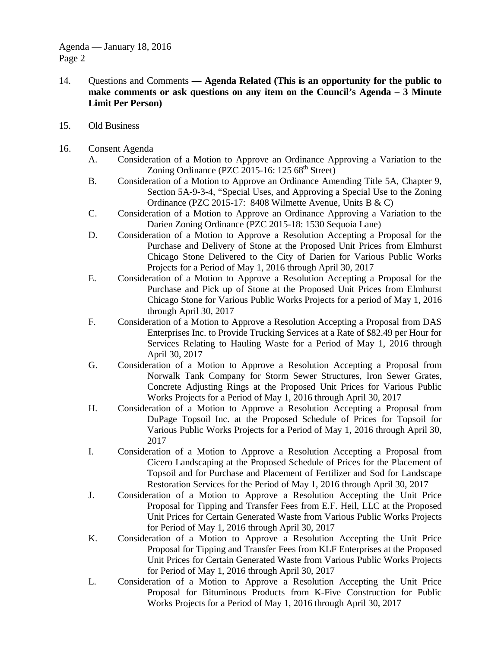- 14. Questions and Comments **— Agenda Related (This is an opportunity for the public to make comments or ask questions on any item on the Council's Agenda – 3 Minute Limit Per Person)**
- 15. Old Business
- 16. Consent Agenda
	- A. Consideration of a Motion to Approve an Ordinance Approving a Variation to the Zoning Ordinance (PZC 2015-16:  $125.68<sup>th</sup> Street$ )
	- B. Consideration of a Motion to Approve an Ordinance Amending Title 5A, Chapter 9, Section 5A-9-3-4, "Special Uses, and Approving a Special Use to the Zoning Ordinance (PZC 2015-17: 8408 Wilmette Avenue, Units B & C)
	- C. Consideration of a Motion to Approve an Ordinance Approving a Variation to the Darien Zoning Ordinance (PZC 2015-18: 1530 Sequoia Lane)
	- D. Consideration of a Motion to Approve a Resolution Accepting a Proposal for the Purchase and Delivery of Stone at the Proposed Unit Prices from Elmhurst Chicago Stone Delivered to the City of Darien for Various Public Works Projects for a Period of May 1, 2016 through April 30, 2017
	- E. Consideration of a Motion to Approve a Resolution Accepting a Proposal for the Purchase and Pick up of Stone at the Proposed Unit Prices from Elmhurst Chicago Stone for Various Public Works Projects for a period of May 1, 2016 through April 30, 2017
	- F. Consideration of a Motion to Approve a Resolution Accepting a Proposal from DAS Enterprises Inc. to Provide Trucking Services at a Rate of \$82.49 per Hour for Services Relating to Hauling Waste for a Period of May 1, 2016 through April 30, 2017
	- G. Consideration of a Motion to Approve a Resolution Accepting a Proposal from Norwalk Tank Company for Storm Sewer Structures, Iron Sewer Grates, Concrete Adjusting Rings at the Proposed Unit Prices for Various Public Works Projects for a Period of May 1, 2016 through April 30, 2017
	- H. Consideration of a Motion to Approve a Resolution Accepting a Proposal from DuPage Topsoil Inc. at the Proposed Schedule of Prices for Topsoil for Various Public Works Projects for a Period of May 1, 2016 through April 30, 2017
	- I. Consideration of a Motion to Approve a Resolution Accepting a Proposal from Cicero Landscaping at the Proposed Schedule of Prices for the Placement of Topsoil and for Purchase and Placement of Fertilizer and Sod for Landscape Restoration Services for the Period of May 1, 2016 through April 30, 2017
	- J. Consideration of a Motion to Approve a Resolution Accepting the Unit Price Proposal for Tipping and Transfer Fees from E.F. Heil, LLC at the Proposed Unit Prices for Certain Generated Waste from Various Public Works Projects for Period of May 1, 2016 through April 30, 2017
	- K. Consideration of a Motion to Approve a Resolution Accepting the Unit Price Proposal for Tipping and Transfer Fees from KLF Enterprises at the Proposed Unit Prices for Certain Generated Waste from Various Public Works Projects for Period of May 1, 2016 through April 30, 2017
	- L. Consideration of a Motion to Approve a Resolution Accepting the Unit Price Proposal for Bituminous Products from K-Five Construction for Public Works Projects for a Period of May 1, 2016 through April 30, 2017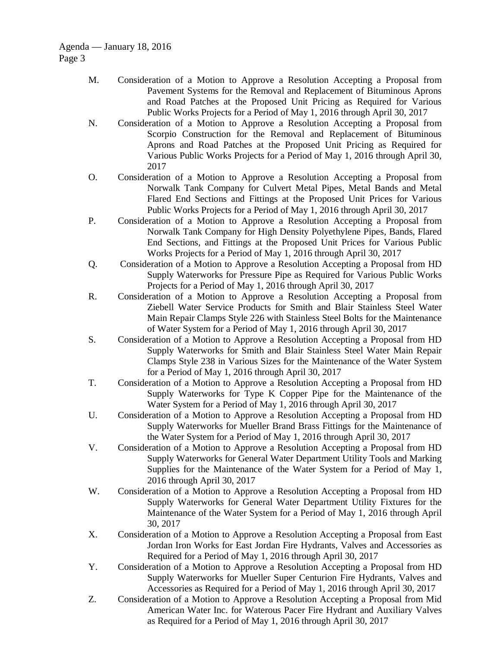- M. Consideration of a Motion to Approve a Resolution Accepting a Proposal from Pavement Systems for the Removal and Replacement of Bituminous Aprons and Road Patches at the Proposed Unit Pricing as Required for Various Public Works Projects for a Period of May 1, 2016 through April 30, 2017
- N. Consideration of a Motion to Approve a Resolution Accepting a Proposal from Scorpio Construction for the Removal and Replacement of Bituminous Aprons and Road Patches at the Proposed Unit Pricing as Required for Various Public Works Projects for a Period of May 1, 2016 through April 30, 2017
- O. Consideration of a Motion to Approve a Resolution Accepting a Proposal from Norwalk Tank Company for Culvert Metal Pipes, Metal Bands and Metal Flared End Sections and Fittings at the Proposed Unit Prices for Various Public Works Projects for a Period of May 1, 2016 through April 30, 2017
- P. Consideration of a Motion to Approve a Resolution Accepting a Proposal from Norwalk Tank Company for High Density Polyethylene Pipes, Bands, Flared End Sections, and Fittings at the Proposed Unit Prices for Various Public Works Projects for a Period of May 1, 2016 through April 30, 2017
- Q. Consideration of a Motion to Approve a Resolution Accepting a Proposal from HD Supply Waterworks for Pressure Pipe as Required for Various Public Works Projects for a Period of May 1, 2016 through April 30, 2017
- R. Consideration of a Motion to Approve a Resolution Accepting a Proposal from Ziebell Water Service Products for Smith and Blair Stainless Steel Water Main Repair Clamps Style 226 with Stainless Steel Bolts for the Maintenance of Water System for a Period of May 1, 2016 through April 30, 2017
- S. Consideration of a Motion to Approve a Resolution Accepting a Proposal from HD Supply Waterworks for Smith and Blair Stainless Steel Water Main Repair Clamps Style 238 in Various Sizes for the Maintenance of the Water System for a Period of May 1, 2016 through April 30, 2017
- T. Consideration of a Motion to Approve a Resolution Accepting a Proposal from HD Supply Waterworks for Type K Copper Pipe for the Maintenance of the Water System for a Period of May 1, 2016 through April 30, 2017
- U. Consideration of a Motion to Approve a Resolution Accepting a Proposal from HD Supply Waterworks for Mueller Brand Brass Fittings for the Maintenance of the Water System for a Period of May 1, 2016 through April 30, 2017
- V. Consideration of a Motion to Approve a Resolution Accepting a Proposal from HD Supply Waterworks for General Water Department Utility Tools and Marking Supplies for the Maintenance of the Water System for a Period of May 1, 2016 through April 30, 2017
- W. Consideration of a Motion to Approve a Resolution Accepting a Proposal from HD Supply Waterworks for General Water Department Utility Fixtures for the Maintenance of the Water System for a Period of May 1, 2016 through April 30, 2017
- X. Consideration of a Motion to Approve a Resolution Accepting a Proposal from East Jordan Iron Works for East Jordan Fire Hydrants, Valves and Accessories as Required for a Period of May 1, 2016 through April 30, 2017
- Y. Consideration of a Motion to Approve a Resolution Accepting a Proposal from HD Supply Waterworks for Mueller Super Centurion Fire Hydrants, Valves and Accessories as Required for a Period of May 1, 2016 through April 30, 2017
- Z. Consideration of a Motion to Approve a Resolution Accepting a Proposal from Mid American Water Inc. for Waterous Pacer Fire Hydrant and Auxiliary Valves as Required for a Period of May 1, 2016 through April 30, 2017